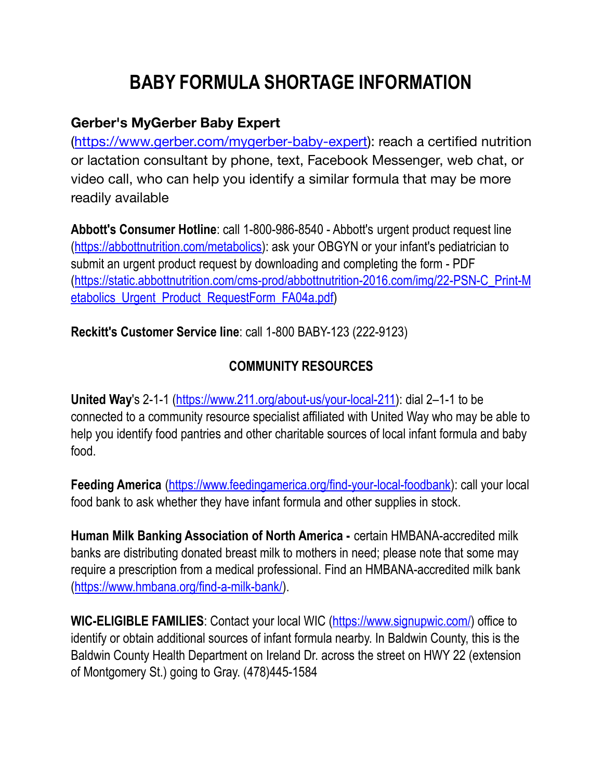## **BABY FORMULA SHORTAGE INFORMATION**

## **Gerber's MyGerber Baby Expert**

(<https://www.gerber.com/mygerber-baby-expert>): reach a certified nutrition or lactation consultant by phone, text, Facebook Messenger, web chat, or video call, who can help you identify a similar formula that may be more readily available

**Abbott's Consumer Hotline**: call 1-800-986-8540 - Abbott's urgent product request line ([https://abbottnutrition.com/metabolics\)](https://abbottnutrition.com/metabolics): ask your OBGYN or your infant's pediatrician to submit an urgent product request by downloading and completing the form - PDF ([https://static.abbottnutrition.com/cms-prod/abbottnutrition-2016.com/img/22-PSN-C\\_Print-M](https://static.abbottnutrition.com/cms-prod/abbottnutrition-2016.com/img/22-PSN-C_Print-Metabolics_Urgent_Product_RequestForm_FA04a.pdf) [etabolics\\_Urgent\\_Product\\_RequestForm\\_FA04a.pdf\)](https://static.abbottnutrition.com/cms-prod/abbottnutrition-2016.com/img/22-PSN-C_Print-Metabolics_Urgent_Product_RequestForm_FA04a.pdf)

**Reckitt's Customer Service line**: call 1-800 BABY-123 (222-9123)

## **COMMUNITY RESOURCES**

**United Way**'s 2-1-1 ([https://www.211.org/about-us/your-local-211\)](https://www.211.org/about-us/your-local-211): dial 2–1-1 to be connected to a community resource specialist affiliated with United Way who may be able to help you identify food pantries and other charitable sources of local infant formula and baby food.

**Feeding America** [\(https://www.feedingamerica.org/find-your-local-foodbank\)](https://www.feedingamerica.org/find-your-local-foodbank): call your local food bank to ask whether they have infant formula and other supplies in stock.

**Human Milk Banking Association of North America -** certain HMBANA-accredited milk banks are distributing donated breast milk to mothers in need; please note that some may require a prescription from a medical professional. Find an HMBANA-accredited milk bank ([https://www.hmbana.org/find-a-milk-bank/\)](https://www.hmbana.org/find-a-milk-bank/).

**WIC-ELIGIBLE FAMILIES**: Contact your local WIC (<https://www.signupwic.com/>) office to identify or obtain additional sources of infant formula nearby. In Baldwin County, this is the Baldwin County Health Department on Ireland Dr. across the street on HWY 22 (extension of Montgomery St.) going to Gray. (478)445-1584